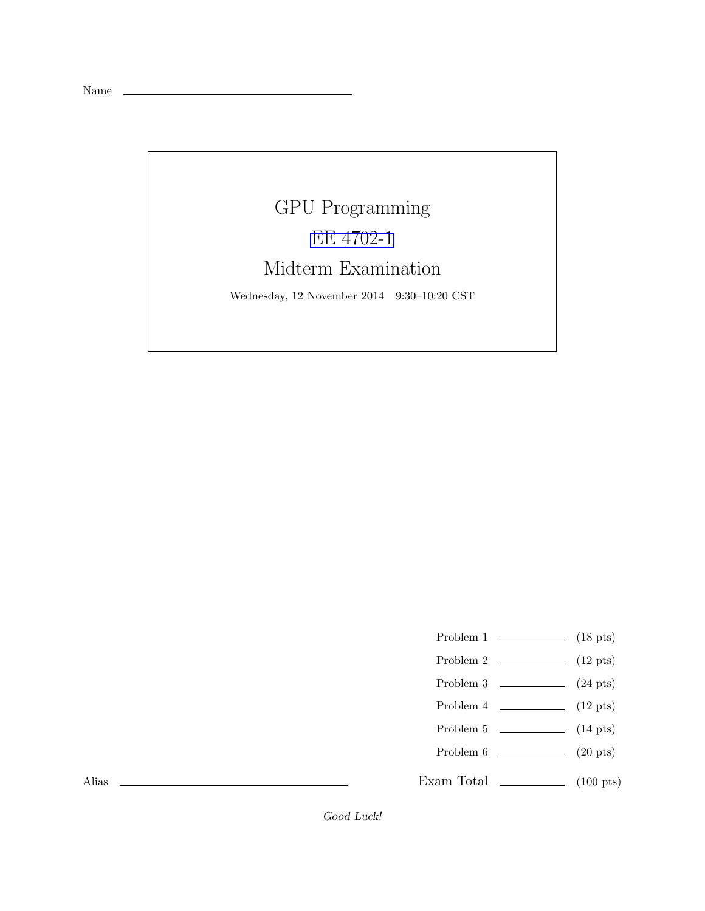Name

## GPU Programming [EE 4702-1](http://www.ece.lsu.edu/koppel/gpup/) Midterm Examination

Wednesday, 12 November 2014 9:30–10:20 CST

- Problem 1  $(18 \text{ pts})$
- Problem 2  $\qquad \qquad$  (12 pts)
- Problem 3  $\qquad \qquad$  (24 pts)
- Problem 4  $\sim$  (12 pts)
- Problem 5  $\qquad \qquad$  (14 pts)
- Problem 6 (20 pts)
- Exam Total  $\qquad \qquad$  (100 pts)

Alias

Good Luck!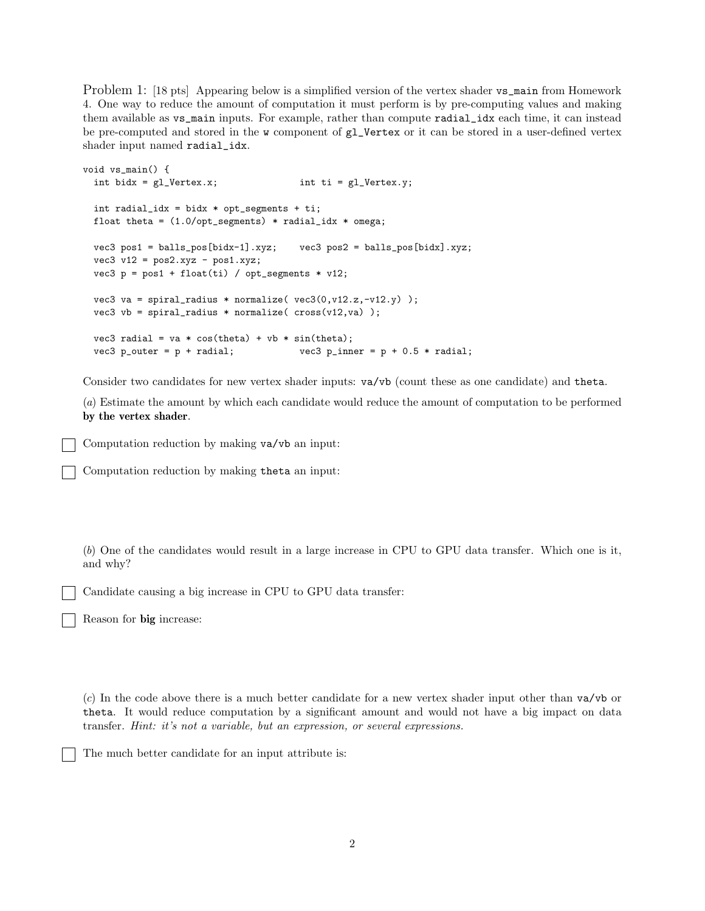Problem 1: [18 pts] Appearing below is a simplified version of the vertex shader vs\_main from Homework 4. One way to reduce the amount of computation it must perform is by pre-computing values and making them available as vs\_main inputs. For example, rather than compute radial\_idx each time, it can instead be pre-computed and stored in the w component of gl\_Vertex or it can be stored in a user-defined vertex shader input named radial\_idx.

```
void vs_main() {
  int bidx = gl\_Vertex.x; int ti = gl\_Vertex.y;
  int radial_idx = bidx * opt_segments + ti;
 float theta = (1.0/\text{opt\_segments}) * radial_idx * omega;
 vec3 pos1 = balls_pos[bidx-1].xyz; vec3 pos2 = balls_pos[bidx].xyz;
 vec3 v12 = pos2.xyz - pos1.xyz;
 vec3 p = pos1 + float(ti) / opt_segments * v12;
 vec3 va = spiral_radius * normalize(vec3(0,v12.z,-v12.y));
 vec3 vb = spiral_radius * normalize(cross(v12, va));
 vec3 radial = va * cos(theta) + vb * sin(theta);
 vec3 p_outer = p + radial; vec3 p_inner = p + 0.5 * radial;
```
Consider two candidates for new vertex shader inputs: va/vb (count these as one candidate) and theta.

(a) Estimate the amount by which each candidate would reduce the amount of computation to be performed by the vertex shader.

Computation reduction by making va/vb an input:

Computation reduction by making theta an input:

(b) One of the candidates would result in a large increase in CPU to GPU data transfer. Which one is it, and why?

Candidate causing a big increase in CPU to GPU data transfer:

Reason for big increase:

(c) In the code above there is a much better candidate for a new vertex shader input other than va/vb or theta. It would reduce computation by a significant amount and would not have a big impact on data transfer. Hint: it's not a variable, but an expression, or several expressions.

The much better candidate for an input attribute is: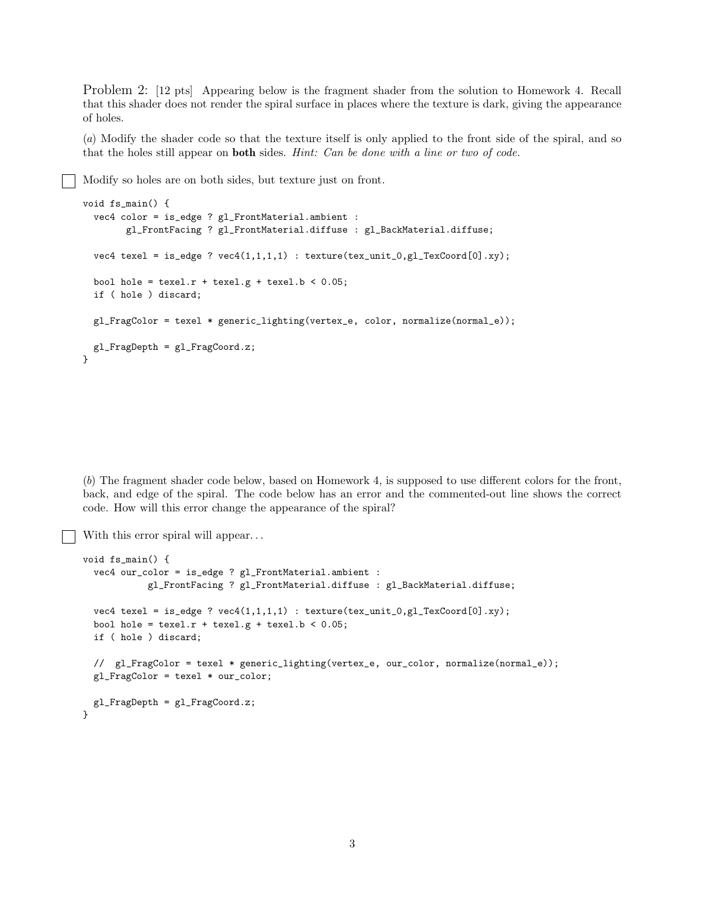Problem 2: [12 pts] Appearing below is the fragment shader from the solution to Homework 4. Recall that this shader does not render the spiral surface in places where the texture is dark, giving the appearance of holes.

(a) Modify the shader code so that the texture itself is only applied to the front side of the spiral, and so that the holes still appear on **both** sides. *Hint: Can be done with a line or two of code.* 

Modify so holes are on both sides, but texture just on front.

```
void fs_main() {
 vec4 color = is_edge ? gl_FrontMaterial.ambient :
        gl_FrontFacing ? gl_FrontMaterial.diffuse : gl_BackMaterial.diffuse;
 vec4 texel = is_edge ? vec4(1,1,1,1) : texture(tex_unit_0,gl_TexCoord[0].xy);
 bool hole = text.r + \text{text}.g + \text{text}.b < 0.05;if ( hole ) discard;
  gl_FragColor = texel * generic_lighting(vertex_e, color, normalize(normal_e));
 gl_FragDepth = gl_FragCoord.z;
}
```
(b) The fragment shader code below, based on Homework 4, is supposed to use different colors for the front, back, and edge of the spiral. The code below has an error and the commented-out line shows the correct code. How will this error change the appearance of the spiral?

With this error spiral will appear...

```
void fs main() \{vec4 our_color = is_edge ? gl_FrontMaterial.ambient :
            gl_FrontFacing ? gl_FrontMaterial.diffuse : gl_BackMaterial.diffuse;
 vec4 texel = is_edge ? vec4(1,1,1,1) : texture(tex_unit_0,gl_TexCoord[0].xy);
 bool hole = text.r + \text{text}.g + \text{text}.b < 0.05;if ( hole ) discard;
 // gl_FragColor = texel * generic_lighting(vertex_e, our_color, normalize(normal_e));
 gl_FragColor = texel * our_color;
 gl_FragDepth = gl_FragCoord.z;
}
```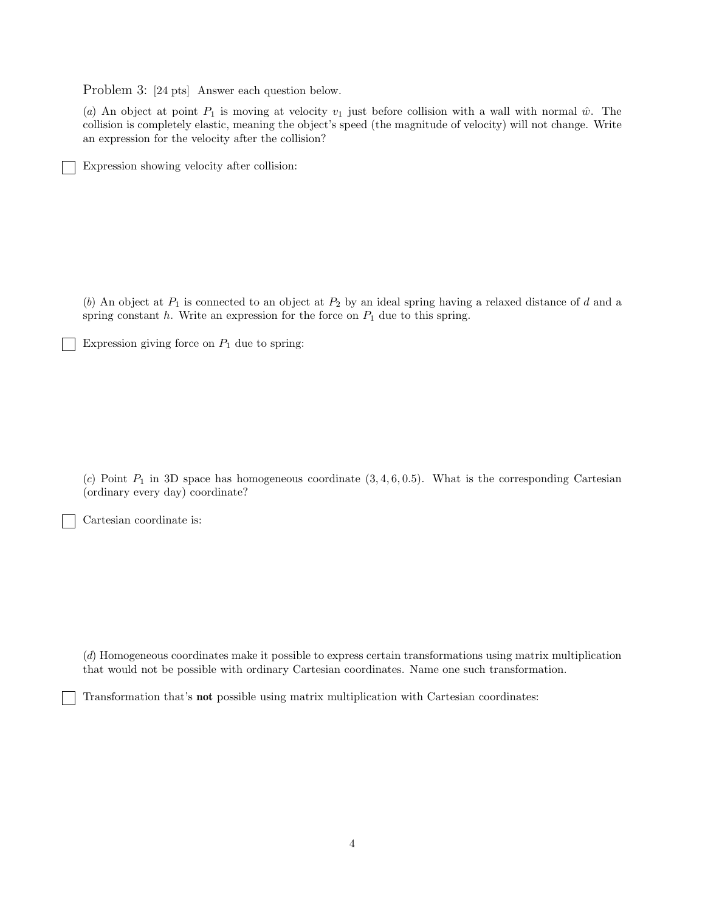Problem 3: [24 pts] Answer each question below.

(a) An object at point  $P_1$  is moving at velocity  $v_1$  just before collision with a wall with normal  $\hat{w}$ . The collision is completely elastic, meaning the object's speed (the magnitude of velocity) will not change. Write an expression for the velocity after the collision?

Expression showing velocity after collision:

(b) An object at  $P_1$  is connected to an object at  $P_2$  by an ideal spring having a relaxed distance of d and a spring constant  $h$ . Write an expression for the force on  $P_1$  due to this spring.

Expression giving force on  $P_1$  due to spring:

(c) Point  $P_1$  in 3D space has homogeneous coordinate  $(3, 4, 6, 0.5)$ . What is the corresponding Cartesian (ordinary every day) coordinate?

Cartesian coordinate is:

(d) Homogeneous coordinates make it possible to express certain transformations using matrix multiplication that would not be possible with ordinary Cartesian coordinates. Name one such transformation.

Transformation that's not possible using matrix multiplication with Cartesian coordinates: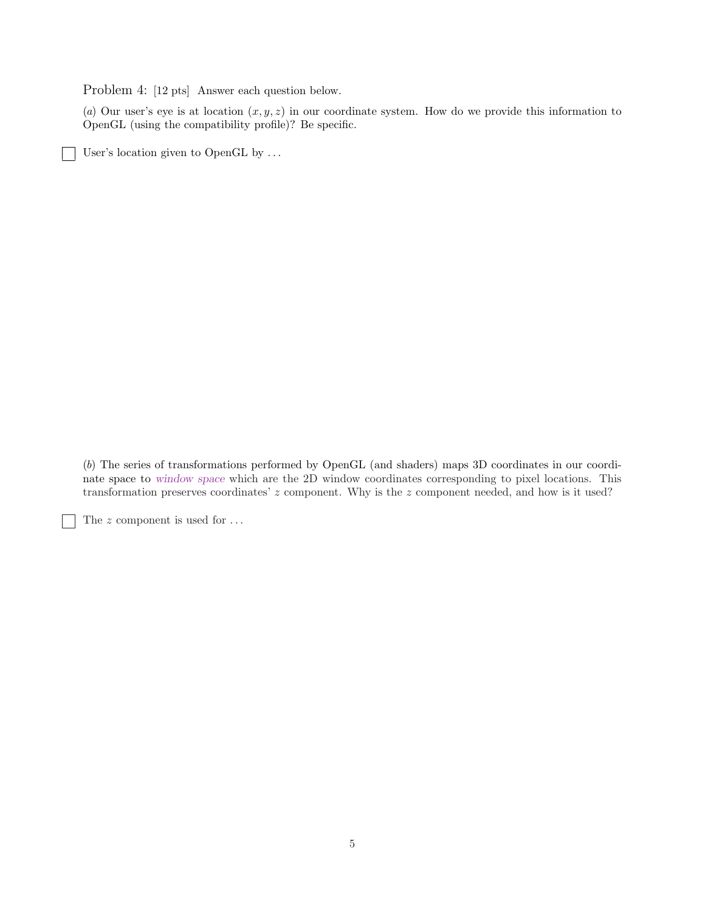Problem 4: [12 pts] Answer each question below.

(a) Our user's eye is at location  $(x, y, z)$  in our coordinate system. How do we provide this information to OpenGL (using the compatibility profile)? Be specific.

User's location given to OpenGL by . . .

 $\overline{\phantom{0}}$ 

 $\mathcal{L}$ 

(b) The series of transformations performed by OpenGL (and shaders) maps 3D coordinates in our coordinate space to window space which are the 2D window coordinates corresponding to pixel locations. This transformation preserves coordinates' z component. Why is the z component needed, and how is it used?

The  $z$  component is used for  $\dots$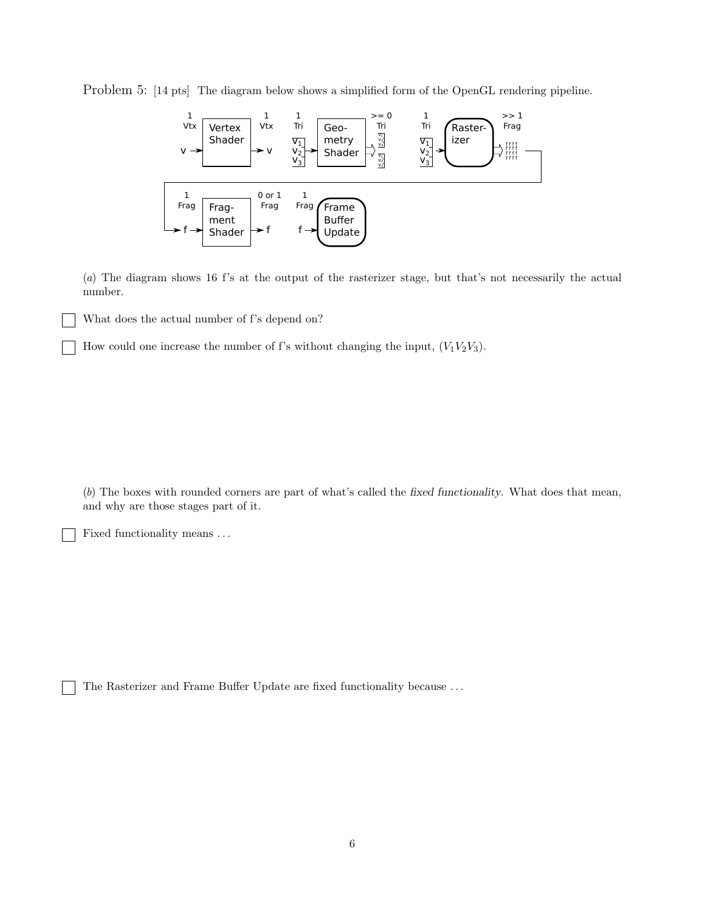Problem 5: [14 pts] The diagram below shows a simplified form of the OpenGL rendering pipeline.



(a) The diagram shows 16 f's at the output of the rasterizer stage, but that's not necessarily the actual number.

What does the actual number of f's depend on?

How could one increase the number of f's without changing the input,  $(V_1V_2V_3)$ .

(b) The boxes with rounded corners are part of what's called the fixed functionality. What does that mean, and why are those stages part of it.

Fixed functionality means . . .

The Rasterizer and Frame Buffer Update are fixed functionality because . . .